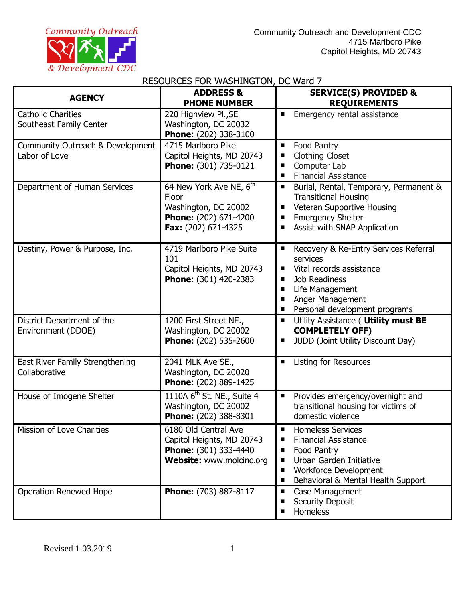

# RESOURCES FOR WASHINGTON, DC Ward 7

| <b>AGENCY</b>                                        | <b>ADDRESS &amp;</b><br><b>PHONE NUMBER</b>                                                                          | <b>SERVICE(S) PROVIDED &amp;</b><br><b>REQUIREMENTS</b>                                                                                                                                                     |
|------------------------------------------------------|----------------------------------------------------------------------------------------------------------------------|-------------------------------------------------------------------------------------------------------------------------------------------------------------------------------------------------------------|
| <b>Catholic Charities</b><br>Southeast Family Center | 220 Highview Pl., SE<br>Washington, DC 20032<br>Phone: (202) 338-3100                                                | Emergency rental assistance<br>■                                                                                                                                                                            |
| Community Outreach & Development<br>Labor of Love    | 4715 Marlboro Pike<br>Capitol Heights, MD 20743<br>Phone: (301) 735-0121                                             | Food Pantry<br>п<br><b>Clothing Closet</b><br>Computer Lab<br><b>Financial Assistance</b>                                                                                                                   |
| Department of Human Services                         | 64 New York Ave NE, 6 <sup>th</sup><br>Floor<br>Washington, DC 20002<br>Phone: (202) 671-4200<br>Fax: (202) 671-4325 | Burial, Rental, Temporary, Permanent &<br>п<br><b>Transitional Housing</b><br>Veteran Supportive Housing<br>п<br><b>Emergency Shelter</b><br>٠<br>Assist with SNAP Application<br>п                         |
| Destiny, Power & Purpose, Inc.                       | 4719 Marlboro Pike Suite<br>101<br>Capitol Heights, MD 20743<br>Phone: (301) 420-2383                                | Recovery & Re-Entry Services Referral<br>п<br>services<br>Vital records assistance<br>п<br><b>Job Readiness</b><br>■<br>Life Management<br>■<br>Anger Management<br>п<br>Personal development programs<br>п |
| District Department of the<br>Environment (DDOE)     | 1200 First Street NE.,<br>Washington, DC 20002<br>Phone: (202) 535-2600                                              | Utility Assistance ( Utility must BE<br>п<br><b>COMPLETELY OFF)</b><br>JUDD (Joint Utility Discount Day)<br>п                                                                                               |
| East River Family Strengthening<br>Collaborative     | 2041 MLK Ave SE.,<br>Washington, DC 20020<br>Phone: (202) 889-1425                                                   | Listing for Resources<br>П                                                                                                                                                                                  |
| House of Imogene Shelter                             | 1110A 6 <sup>th</sup> St. NE., Suite 4<br>Washington, DC 20002<br>Phone: (202) 388-8301                              | Provides emergency/overnight and<br>п<br>transitional housing for victims of<br>domestic violence                                                                                                           |
| Mission of Love Charities                            | 6180 Old Central Ave<br>Capitol Heights, MD 20743<br>Phone: (301) 333-4440<br>Website: www.molcinc.org               | Homeless Services<br><b>Financial Assistance</b><br>■<br>Food Pantry<br>п<br>Urban Garden Initiative<br>п<br><b>Workforce Development</b><br>п<br>Behavioral & Mental Health Support<br>■                   |
| <b>Operation Renewed Hope</b>                        | Phone: (703) 887-8117                                                                                                | Case Management<br>٠<br><b>Security Deposit</b><br>п<br><b>Homeless</b><br>■                                                                                                                                |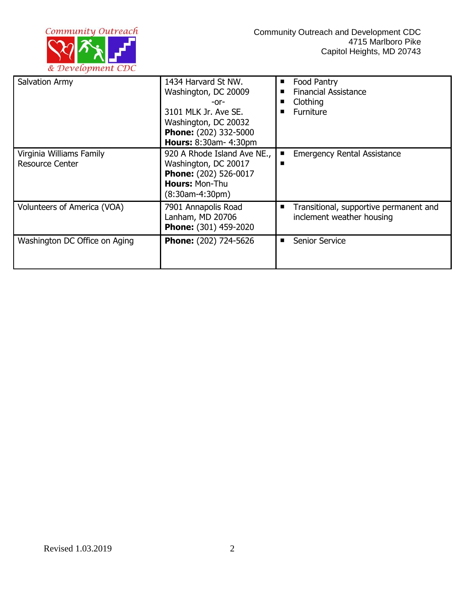

| Salvation Army                                     | 1434 Harvard St NW.<br>Washington, DC 20009<br>-or-<br>3101 MLK Jr. Ave SE.<br>Washington, DC 20032<br><b>Phone:</b> (202) 332-5000<br><b>Hours: 8:30am- 4:30pm</b> | Food Pantry<br><b>Financial Assistance</b><br>Clothing<br>■<br>Furniture |
|----------------------------------------------------|---------------------------------------------------------------------------------------------------------------------------------------------------------------------|--------------------------------------------------------------------------|
| Virginia Williams Family<br><b>Resource Center</b> | 920 A Rhode Island Ave NE.,<br>Washington, DC 20017<br>Phone: (202) 526-0017<br><b>Hours: Mon-Thu</b><br>$(8:30$ am-4:30pm $)$                                      | <b>Emergency Rental Assistance</b><br>■<br>■                             |
| Volunteers of America (VOA)                        | 7901 Annapolis Road<br>Lanham, MD 20706<br>Phone: (301) 459-2020                                                                                                    | Transitional, supportive permanent and<br>inclement weather housing      |
| Washington DC Office on Aging                      | <b>Phone:</b> (202) 724-5626                                                                                                                                        | <b>Senior Service</b><br>■                                               |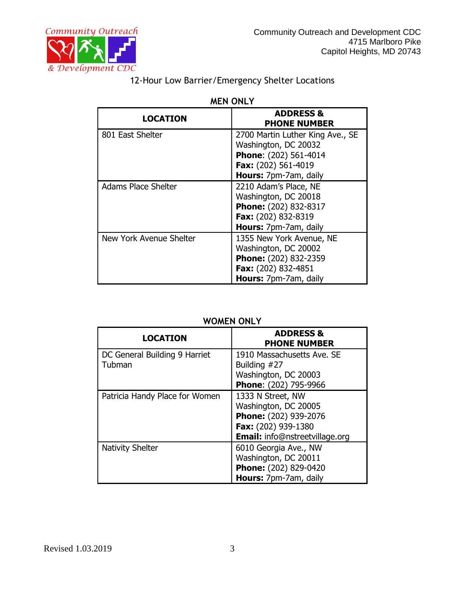

| <b>LOCATION</b>         | <b>ADDRESS &amp;</b><br><b>PHONE NUMBER</b>                                                                                       |  |
|-------------------------|-----------------------------------------------------------------------------------------------------------------------------------|--|
| 801 East Shelter        | 2700 Martin Luther King Ave., SE<br>Washington, DC 20032<br>Phone: (202) 561-4014<br>Fax: (202) 561-4019<br>Hours: 7pm-7am, daily |  |
| Adams Place Shelter     | 2210 Adam's Place, NE<br>Washington, DC 20018<br>Phone: (202) 832-8317<br>Fax: (202) 832-8319<br>Hours: 7pm-7am, daily            |  |
| New York Avenue Shelter | 1355 New York Avenue, NE<br>Washington, DC 20002<br>Phone: (202) 832-2359<br>Fax: (202) 832-4851<br>Hours: 7pm-7am, daily         |  |

#### **MEN ONLY**

### **WOMEN ONLY**

| <b>LOCATION</b>                | <b>ADDRESS &amp;</b><br><b>PHONE NUMBER</b> |
|--------------------------------|---------------------------------------------|
| DC General Building 9 Harriet  | 1910 Massachusetts Ave. SE                  |
| Tubman                         | Building #27                                |
|                                | Washington, DC 20003                        |
|                                | Phone: (202) 795-9966                       |
| Patricia Handy Place for Women | 1333 N Street, NW                           |
|                                | Washington, DC 20005                        |
|                                | Phone: (202) 939-2076                       |
|                                | Fax: (202) 939-1380                         |
|                                | <b>Email:</b> info@nstreetvillage.org       |
| <b>Nativity Shelter</b>        | 6010 Georgia Ave., NW                       |
|                                | Washington, DC 20011                        |
|                                | Phone: (202) 829-0420                       |
|                                | Hours: 7pm-7am, daily                       |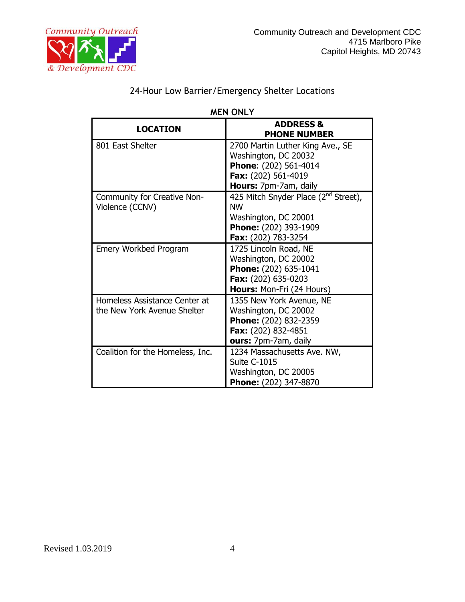

| <b>MEN ONLY</b>                                              |                                                                                                                                       |  |
|--------------------------------------------------------------|---------------------------------------------------------------------------------------------------------------------------------------|--|
| <b>LOCATION</b>                                              | <b>ADDRESS &amp;</b><br><b>PHONE NUMBER</b>                                                                                           |  |
| 801 East Shelter                                             | 2700 Martin Luther King Ave., SE<br>Washington, DC 20032<br>Phone: (202) 561-4014<br>Fax: (202) 561-4019<br>Hours: 7pm-7am, daily     |  |
| Community for Creative Non-<br>Violence (CCNV)               | 425 Mitch Snyder Place (2 <sup>nd</sup> Street),<br><b>NW</b><br>Washington, DC 20001<br>Phone: (202) 393-1909<br>Fax: (202) 783-3254 |  |
| Emery Workbed Program                                        | 1725 Lincoln Road, NE<br>Washington, DC 20002<br>Phone: (202) 635-1041<br>Fax: (202) 635-0203<br><b>Hours: Mon-Fri (24 Hours)</b>     |  |
| Homeless Assistance Center at<br>the New York Avenue Shelter | 1355 New York Avenue, NE<br>Washington, DC 20002<br>Phone: (202) 832-2359<br>Fax: (202) 832-4851<br>ours: 7pm-7am, daily              |  |
| Coalition for the Homeless, Inc.                             | 1234 Massachusetts Ave. NW,<br><b>Suite C-1015</b><br>Washington, DC 20005<br>Phone: (202) 347-8870                                   |  |

## 24-Hour Low Barrier/Emergency Shelter Locations